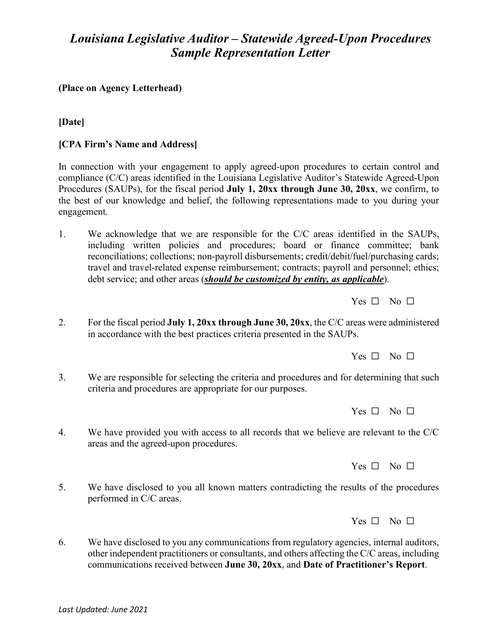# *Louisiana Legislative Auditor – Statewide Agreed-Upon Procedures Sample Representation Letter*

## **(Place on Agency Letterhead)**

## **[Date]**

## **[CPA Firm's Name and Address]**

In connection with your engagement to apply agreed-upon procedures to certain control and compliance (C/C) areas identified in the Louisiana Legislative Auditor's Statewide Agreed-Upon Procedures (SAUPs), for the fiscal period **July 1, 20xx through June 30, 20xx**, we confirm, to the best of our knowledge and belief, the following representations made to you during your engagement.

1. We acknowledge that we are responsible for the C/C areas identified in the SAUPs, including written policies and procedures; board or finance committee; bank reconciliations; collections; non-payroll disbursements; credit/debit/fuel/purchasing cards; travel and travel-related expense reimbursement; contracts; payroll and personnel; ethics; debt service; and other areas (*should be customized by entity, as applicable*).

 $Yes \Box No \Box$ 

2. For the fiscal period **July 1, 20xx through June 30, 20xx**, the C/C areas were administered in accordance with the best practices criteria presented in the SAUPs.

 $Yes \Box No \Box$ 

3. We are responsible for selecting the criteria and procedures and for determining that such criteria and procedures are appropriate for our purposes.

Yes □ No □

4. We have provided you with access to all records that we believe are relevant to the C/C areas and the agreed-upon procedures.

Yes □ No □

5. We have disclosed to you all known matters contradicting the results of the procedures performed in C/C areas.

 $Yes \Box No \Box$ 

6. We have disclosed to you any communications from regulatory agencies, internal auditors, other independent practitioners or consultants, and others affecting the C/C areas, including communications received between **June 30, 20xx**, and **Date of Practitioner's Report**.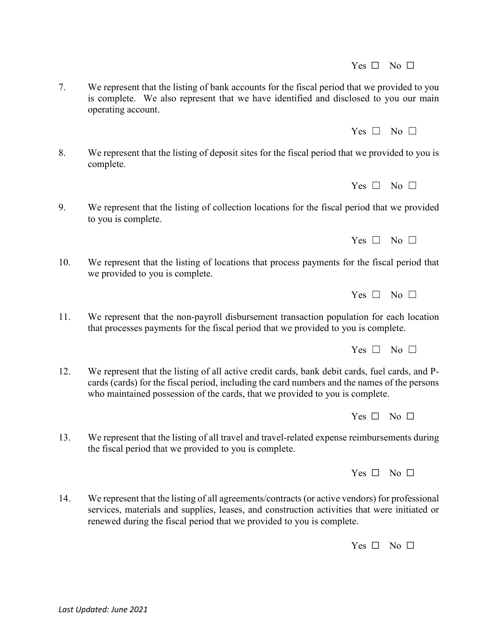7. We represent that the listing of bank accounts for the fiscal period that we provided to you is complete. We also represent that we have identified and disclosed to you our main operating account.

8. We represent that the listing of deposit sites for the fiscal period that we provided to you is complete.

9. We represent that the listing of collection locations for the fiscal period that we provided to you is complete.

10. We represent that the listing of locations that process payments for the fiscal period that we provided to you is complete.

11. We represent that the non-payroll disbursement transaction population for each location that processes payments for the fiscal period that we provided to you is complete.

12. We represent that the listing of all active credit cards, bank debit cards, fuel cards, and Pcards (cards) for the fiscal period, including the card numbers and the names of the persons who maintained possession of the cards, that we provided to you is complete.

13. We represent that the listing of all travel and travel-related expense reimbursements during the fiscal period that we provided to you is complete.

14. We represent that the listing of all agreements/contracts (or active vendors) for professional services, materials and supplies, leases, and construction activities that were initiated or renewed during the fiscal period that we provided to you is complete.

Yes  $\Box$  No  $\Box$ 

Yes □ No □

Yes  $\Box$  No  $\Box$ 

 $Yes \Box No \Box$ 

 $Yes \Box No \Box$ 

 $Yes \Box No \Box$ 

Yes □ No □

 $Yes \Box No \Box$ 

 $Yes \Box No \Box$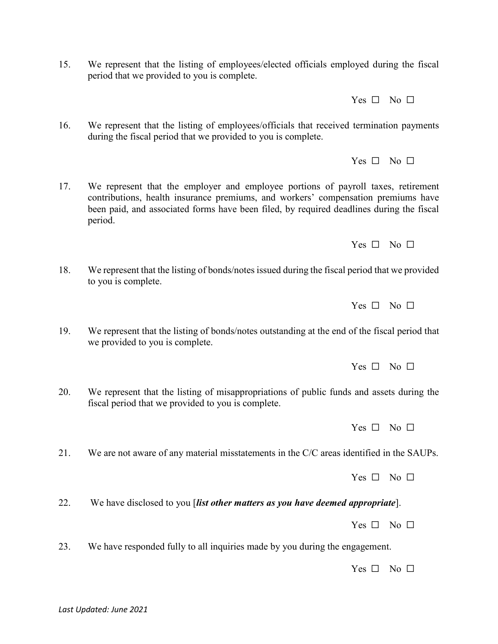15. We represent that the listing of employees/elected officials employed during the fiscal period that we provided to you is complete.

Yes □ No □

16. We represent that the listing of employees/officials that received termination payments during the fiscal period that we provided to you is complete.

 $Yes \Box No \Box$ 

17. We represent that the employer and employee portions of payroll taxes, retirement contributions, health insurance premiums, and workers' compensation premiums have been paid, and associated forms have been filed, by required deadlines during the fiscal period.

Yes □ No □

18. We represent that the listing of bonds/notes issued during the fiscal period that we provided to you is complete.

Yes □ No □

19. We represent that the listing of bonds/notes outstanding at the end of the fiscal period that we provided to you is complete.

 $Yes \Box No \Box$ 

20. We represent that the listing of misappropriations of public funds and assets during the fiscal period that we provided to you is complete.

Yes  $\Box$  No  $\Box$ 

21. We are not aware of any material misstatements in the C/C areas identified in the SAUPs.

Yes □ No □

22. We have disclosed to you [*list other matters as you have deemed appropriate*].

Yes □ No □

23. We have responded fully to all inquiries made by you during the engagement.

Yes  $\Box$  No  $\Box$